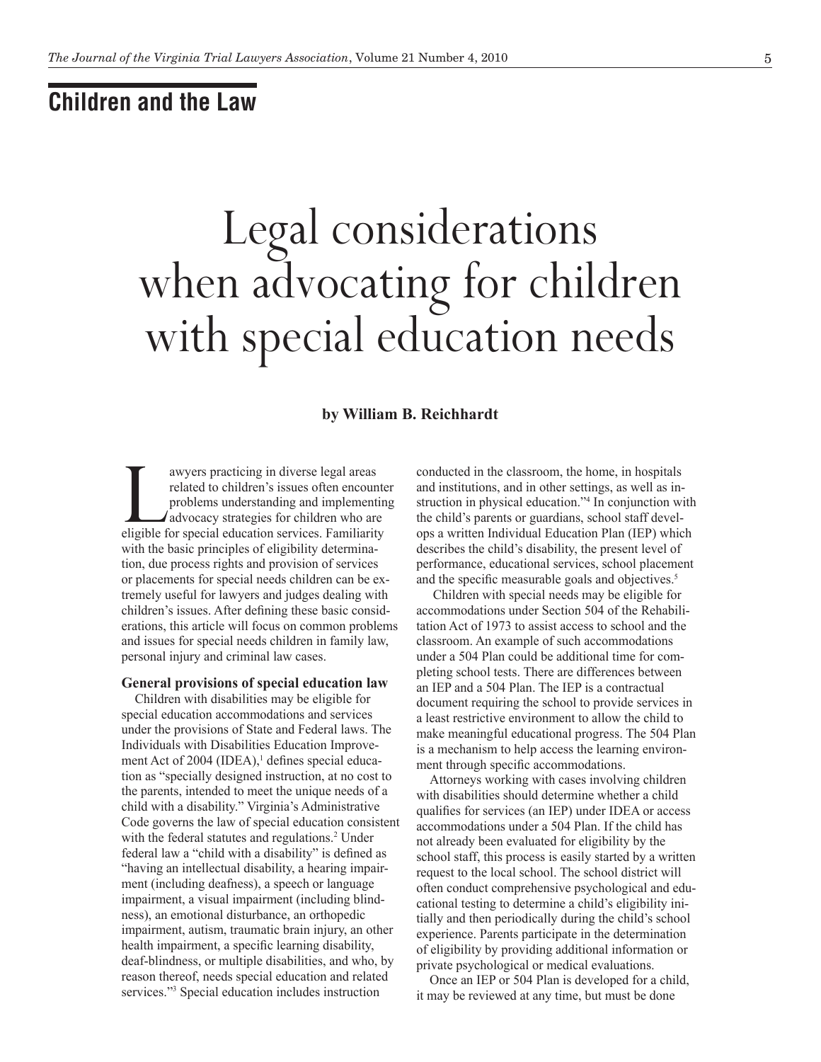## **Children and the Law**

# Legal considerations when advocating for children with special education needs

### **by William B. Reichhardt**

awyers practicing in diverse legal areas<br>
related to children's issues often encounte<br>
problems understanding and implementin<br>
advocacy strategies for children who are<br>
eligible for special education services. Familiarity related to children's issues often encounter problems understanding and implementing advocacy strategies for children who are with the basic principles of eligibility determination, due process rights and provision of services or placements for special needs children can be extremely useful for lawyers and judges dealing with children's issues. After defining these basic considerations, this article will focus on common problems and issues for special needs children in family law, personal injury and criminal law cases.

#### **General provisions of special education law**

Children with disabilities may be eligible for special education accommodations and services under the provisions of State and Federal laws. The Individuals with Disabilities Education Improvement Act of 2004 (IDEA),<sup>1</sup> defines special education as "specially designed instruction, at no cost to the parents, intended to meet the unique needs of a child with a disability." Virginia's Administrative Code governs the law of special education consistent with the federal statutes and regulations.<sup>2</sup> Under federal law a "child with a disability" is defined as "having an intellectual disability, a hearing impairment (including deafness), a speech or language impairment, a visual impairment (including blindness), an emotional disturbance, an orthopedic impairment, autism, traumatic brain injury, an other health impairment, a specific learning disability, deaf-blindness, or multiple disabilities, and who, by reason thereof, needs special education and related services."3 Special education includes instruction

conducted in the classroom, the home, in hospitals and institutions, and in other settings, as well as instruction in physical education."4 In conjunction with the child's parents or guardians, school staff develops a written Individual Education Plan (IEP) which describes the child's disability, the present level of performance, educational services, school placement and the specific measurable goals and objectives.<sup>5</sup>

 Children with special needs may be eligible for accommodations under Section 504 of the Rehabilitation Act of 1973 to assist access to school and the classroom. An example of such accommodations under a 504 Plan could be additional time for completing school tests. There are differences between an IEP and a 504 Plan. The IEP is a contractual document requiring the school to provide services in a least restrictive environment to allow the child to make meaningful educational progress. The 504 Plan is a mechanism to help access the learning environment through specific accommodations.

Attorneys working with cases involving children with disabilities should determine whether a child qualifies for services (an IEP) under IDEA or access accommodations under a 504 Plan. If the child has not already been evaluated for eligibility by the school staff, this process is easily started by a written request to the local school. The school district will often conduct comprehensive psychological and educational testing to determine a child's eligibility initially and then periodically during the child's school experience. Parents participate in the determination of eligibility by providing additional information or private psychological or medical evaluations.

Once an IEP or 504 Plan is developed for a child, it may be reviewed at any time, but must be done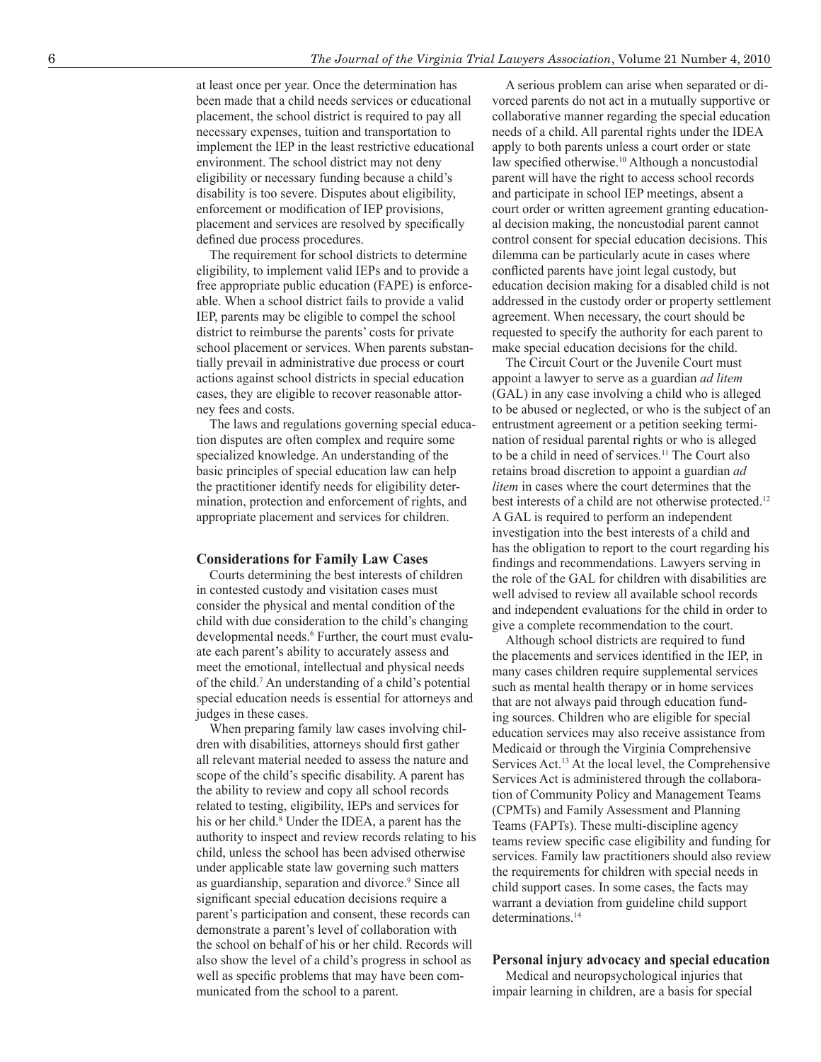at least once per year. Once the determination has been made that a child needs services or educational placement, the school district is required to pay all necessary expenses, tuition and transportation to implement the IEP in the least restrictive educational environment. The school district may not deny eligibility or necessary funding because a child's disability is too severe. Disputes about eligibility, enforcement or modification of IEP provisions, placement and services are resolved by specifically defined due process procedures.

The requirement for school districts to determine eligibility, to implement valid IEPs and to provide a free appropriate public education (FAPE) is enforceable. When a school district fails to provide a valid IEP, parents may be eligible to compel the school district to reimburse the parents' costs for private school placement or services. When parents substantially prevail in administrative due process or court actions against school districts in special education cases, they are eligible to recover reasonable attorney fees and costs.

The laws and regulations governing special education disputes are often complex and require some specialized knowledge. An understanding of the basic principles of special education law can help the practitioner identify needs for eligibility determination, protection and enforcement of rights, and appropriate placement and services for children.

#### **Considerations for Family Law Cases**

Courts determining the best interests of children in contested custody and visitation cases must consider the physical and mental condition of the child with due consideration to the child's changing developmental needs.<sup>6</sup> Further, the court must evaluate each parent's ability to accurately assess and meet the emotional, intellectual and physical needs of the child.7 An understanding of a child's potential special education needs is essential for attorneys and judges in these cases.

When preparing family law cases involving children with disabilities, attorneys should first gather all relevant material needed to assess the nature and scope of the child's specific disability. A parent has the ability to review and copy all school records related to testing, eligibility, IEPs and services for his or her child.<sup>8</sup> Under the IDEA, a parent has the authority to inspect and review records relating to his child, unless the school has been advised otherwise under applicable state law governing such matters as guardianship, separation and divorce.<sup>9</sup> Since all significant special education decisions require a parent's participation and consent, these records can demonstrate a parent's level of collaboration with the school on behalf of his or her child. Records will also show the level of a child's progress in school as well as specific problems that may have been communicated from the school to a parent.

A serious problem can arise when separated or divorced parents do not act in a mutually supportive or collaborative manner regarding the special education needs of a child. All parental rights under the IDEA apply to both parents unless a court order or state law specified otherwise.10 Although a noncustodial parent will have the right to access school records and participate in school IEP meetings, absent a court order or written agreement granting educational decision making, the noncustodial parent cannot control consent for special education decisions. This dilemma can be particularly acute in cases where conflicted parents have joint legal custody, but education decision making for a disabled child is not addressed in the custody order or property settlement agreement. When necessary, the court should be requested to specify the authority for each parent to make special education decisions for the child.

The Circuit Court or the Juvenile Court must appoint a lawyer to serve as a guardian *ad litem*  (GAL) in any case involving a child who is alleged to be abused or neglected, or who is the subject of an entrustment agreement or a petition seeking termination of residual parental rights or who is alleged to be a child in need of services.11 The Court also retains broad discretion to appoint a guardian *ad litem* in cases where the court determines that the best interests of a child are not otherwise protected.<sup>12</sup> A GAL is required to perform an independent investigation into the best interests of a child and has the obligation to report to the court regarding his findings and recommendations. Lawyers serving in the role of the GAL for children with disabilities are well advised to review all available school records and independent evaluations for the child in order to give a complete recommendation to the court.

Although school districts are required to fund the placements and services identified in the IEP, in many cases children require supplemental services such as mental health therapy or in home services that are not always paid through education funding sources. Children who are eligible for special education services may also receive assistance from Medicaid or through the Virginia Comprehensive Services Act.13 At the local level, the Comprehensive Services Act is administered through the collaboration of Community Policy and Management Teams (CPMTs) and Family Assessment and Planning Teams (FAPTs). These multi-discipline agency teams review specific case eligibility and funding for services. Family law practitioners should also review the requirements for children with special needs in child support cases. In some cases, the facts may warrant a deviation from guideline child support determinations<sup>14</sup>

#### **Personal injury advocacy and special education**

Medical and neuropsychological injuries that impair learning in children, are a basis for special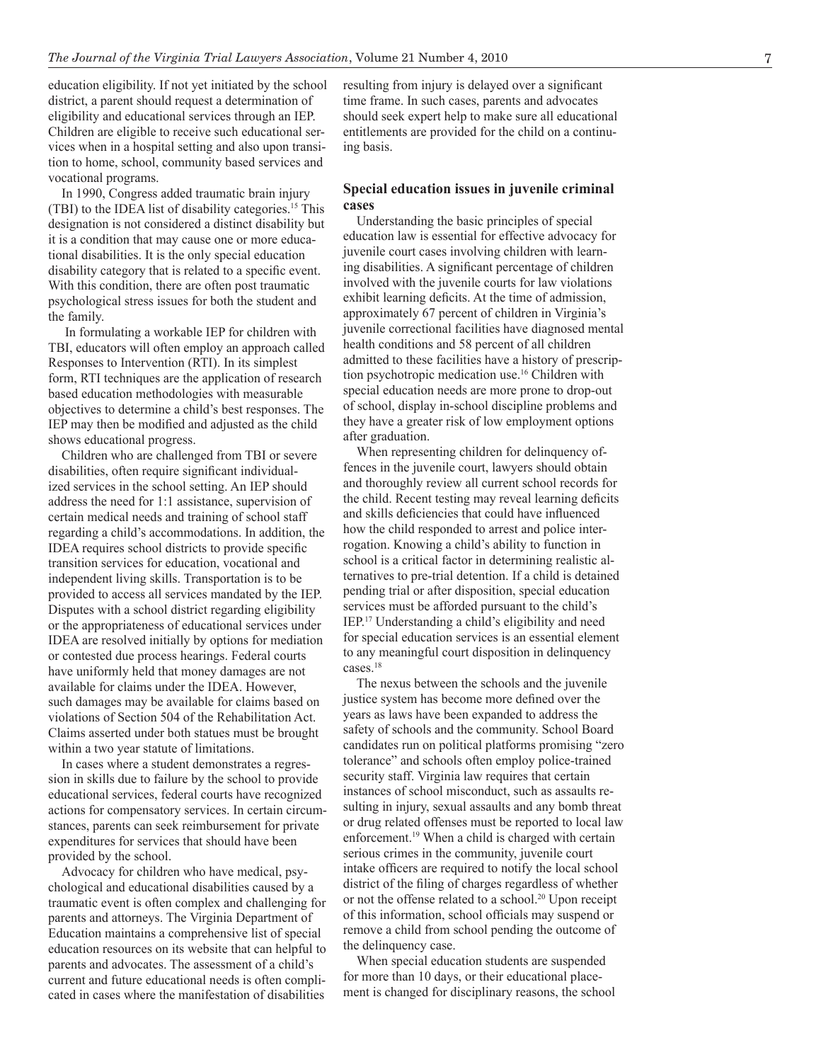education eligibility. If not yet initiated by the school district, a parent should request a determination of eligibility and educational services through an IEP. Children are eligible to receive such educational services when in a hospital setting and also upon transition to home, school, community based services and vocational programs.

In 1990, Congress added traumatic brain injury (TBI) to the IDEA list of disability categories.15 This designation is not considered a distinct disability but it is a condition that may cause one or more educational disabilities. It is the only special education disability category that is related to a specific event. With this condition, there are often post traumatic psychological stress issues for both the student and the family.

 In formulating a workable IEP for children with TBI, educators will often employ an approach called Responses to Intervention (RTI). In its simplest form, RTI techniques are the application of research based education methodologies with measurable objectives to determine a child's best responses. The IEP may then be modified and adjusted as the child shows educational progress.

Children who are challenged from TBI or severe disabilities, often require significant individualized services in the school setting. An IEP should address the need for 1:1 assistance, supervision of certain medical needs and training of school staff regarding a child's accommodations. In addition, the IDEA requires school districts to provide specific transition services for education, vocational and independent living skills. Transportation is to be provided to access all services mandated by the IEP. Disputes with a school district regarding eligibility or the appropriateness of educational services under IDEA are resolved initially by options for mediation or contested due process hearings. Federal courts have uniformly held that money damages are not available for claims under the IDEA. However, such damages may be available for claims based on violations of Section 504 of the Rehabilitation Act. Claims asserted under both statues must be brought within a two year statute of limitations.

In cases where a student demonstrates a regression in skills due to failure by the school to provide educational services, federal courts have recognized actions for compensatory services. In certain circumstances, parents can seek reimbursement for private expenditures for services that should have been provided by the school.

Advocacy for children who have medical, psychological and educational disabilities caused by a traumatic event is often complex and challenging for parents and attorneys. The Virginia Department of Education maintains a comprehensive list of special education resources on its website that can helpful to parents and advocates. The assessment of a child's current and future educational needs is often complicated in cases where the manifestation of disabilities

resulting from injury is delayed over a significant time frame. In such cases, parents and advocates should seek expert help to make sure all educational entitlements are provided for the child on a continuing basis.

#### **Special education issues in juvenile criminal cases**

Understanding the basic principles of special education law is essential for effective advocacy for juvenile court cases involving children with learning disabilities. A significant percentage of children involved with the juvenile courts for law violations exhibit learning deficits. At the time of admission, approximately 67 percent of children in Virginia's juvenile correctional facilities have diagnosed mental health conditions and 58 percent of all children admitted to these facilities have a history of prescription psychotropic medication use.16 Children with special education needs are more prone to drop-out of school, display in-school discipline problems and they have a greater risk of low employment options after graduation.

When representing children for delinquency offences in the juvenile court, lawyers should obtain and thoroughly review all current school records for the child. Recent testing may reveal learning deficits and skills deficiencies that could have influenced how the child responded to arrest and police interrogation. Knowing a child's ability to function in school is a critical factor in determining realistic alternatives to pre-trial detention. If a child is detained pending trial or after disposition, special education services must be afforded pursuant to the child's IEP.17 Understanding a child's eligibility and need for special education services is an essential element to any meaningful court disposition in delinquency cases.18

The nexus between the schools and the juvenile justice system has become more defined over the years as laws have been expanded to address the safety of schools and the community. School Board candidates run on political platforms promising "zero tolerance" and schools often employ police-trained security staff. Virginia law requires that certain instances of school misconduct, such as assaults resulting in injury, sexual assaults and any bomb threat or drug related offenses must be reported to local law enforcement.19 When a child is charged with certain serious crimes in the community, juvenile court intake officers are required to notify the local school district of the filing of charges regardless of whether or not the offense related to a school.<sup>20</sup> Upon receipt of this information, school officials may suspend or remove a child from school pending the outcome of the delinquency case.

When special education students are suspended for more than 10 days, or their educational placement is changed for disciplinary reasons, the school